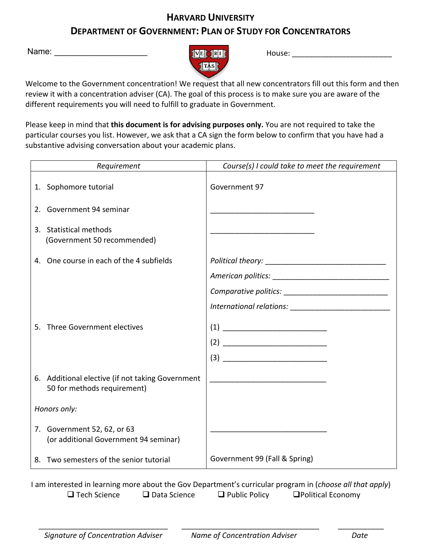## **HARVARD UNIVERSITY DEPARTMENT OF GOVERNMENT: PLAN OF STUDY FOR CONCENTRATORS**



Name: \_\_\_\_\_\_\_\_\_\_\_\_\_\_\_\_\_\_\_\_\_\_\_ House: \_\_\_\_\_\_\_\_\_\_\_\_\_\_\_\_\_\_\_\_\_\_\_\_ Name: \_\_\_\_\_\_\_\_\_\_\_\_\_\_\_\_\_\_\_\_

Welcome to the Government concentration! We request that all new concentrators fill out this form and then review it with a concentration adviser (CA). The goal of this process is to make sure you are aware of the different requirements you will need to fulfill to graduate in Government.

Please keep in mind that **this document is for advising purposes only.** You are not required to take the particular courses you list. However, we ask that a CA sign the form below to confirm that you have had a substantive advising conversation about your academic plans.

| Requirement  |                                                                                 | Course(s) I could take to meet the requirement                                                                                                                                                                                                                                                                                                                                                             |
|--------------|---------------------------------------------------------------------------------|------------------------------------------------------------------------------------------------------------------------------------------------------------------------------------------------------------------------------------------------------------------------------------------------------------------------------------------------------------------------------------------------------------|
|              | 1. Sophomore tutorial                                                           | Government 97                                                                                                                                                                                                                                                                                                                                                                                              |
|              | 2. Government 94 seminar                                                        |                                                                                                                                                                                                                                                                                                                                                                                                            |
|              | 3. Statistical methods<br>(Government 50 recommended)                           |                                                                                                                                                                                                                                                                                                                                                                                                            |
|              | 4. One course in each of the 4 subfields                                        |                                                                                                                                                                                                                                                                                                                                                                                                            |
|              |                                                                                 |                                                                                                                                                                                                                                                                                                                                                                                                            |
|              |                                                                                 |                                                                                                                                                                                                                                                                                                                                                                                                            |
|              |                                                                                 |                                                                                                                                                                                                                                                                                                                                                                                                            |
|              |                                                                                 |                                                                                                                                                                                                                                                                                                                                                                                                            |
| 5.           | Three Government electives                                                      | $(1) \begin{tabular}{ c c c } \hline \rule{0.3cm}{.01cm} & \rule{0.3cm}{.01cm} \rule{0.3cm}{.01cm} \rule{0.3cm}{.01cm} \rule{0.3cm}{.01cm} \rule{0.3cm}{.01cm} \rule{0.3cm}{.01cm} \rule{0.3cm}{.01cm} \rule{0.3cm}{.01cm} \rule{0.3cm}{.01cm} \rule{0.3cm}{.01cm} \rule{0.3cm}{.01cm} \rule{0.3cm}{.01cm} \rule{0.3cm}{.01cm} \rule{0.3cm}{.01cm} \rule{0$                                                |
|              |                                                                                 |                                                                                                                                                                                                                                                                                                                                                                                                            |
|              |                                                                                 | $(3) \begin{tabular}{c} \hline \rule[1em]{1em}{1em} \rule[1em]{1em}{1em} \rule[1em]{1em}{1em} \rule[1em]{1em}{1em} \rule[1em]{1em}{1em} \rule[1em]{1em}{1em} \rule[1em]{1em}{1em} \rule[1em]{1em}{1em} \rule[1em]{1em}{1em} \rule[1em]{1em}{1em} \rule[1em]{1em}{1em} \rule[1em]{1em}{1em} \rule[1em]{1em}{1em} \rule[1em]{1em}{1em} \rule[1em]{1em}{1em} \rule[1em]{1em}{1em} \rule[1em]{1em}{1em} \rule$ |
|              | 6. Additional elective (if not taking Government<br>50 for methods requirement) | <u> 1989 - Johann Stein, marwolaethau a bhann an t-Amhain an t-Amhain an t-Amhain an t-Amhain an t-Amhain an t-A</u>                                                                                                                                                                                                                                                                                       |
| Honors only: |                                                                                 |                                                                                                                                                                                                                                                                                                                                                                                                            |
|              | 7. Government 52, 62, or 63<br>(or additional Government 94 seminar)            |                                                                                                                                                                                                                                                                                                                                                                                                            |
| 8.           | Two semesters of the senior tutorial                                            | Government 99 (Fall & Spring)                                                                                                                                                                                                                                                                                                                                                                              |

 I am interested in learning more about the Gov Department's curricular program in (*choose all that apply*)  $\Box$  Tech Science  $\Box$  Data Science  $\Box$  Public Policy  $\Box$  Political Economy

 $\frac{1}{2}$  ,  $\frac{1}{2}$  ,  $\frac{1}{2}$  ,  $\frac{1}{2}$  ,  $\frac{1}{2}$  ,  $\frac{1}{2}$  ,  $\frac{1}{2}$  ,  $\frac{1}{2}$  ,  $\frac{1}{2}$  ,  $\frac{1}{2}$  ,  $\frac{1}{2}$  ,  $\frac{1}{2}$  ,  $\frac{1}{2}$  ,  $\frac{1}{2}$  ,  $\frac{1}{2}$  ,  $\frac{1}{2}$  ,  $\frac{1}{2}$  ,  $\frac{1}{2}$  ,  $\frac{1$